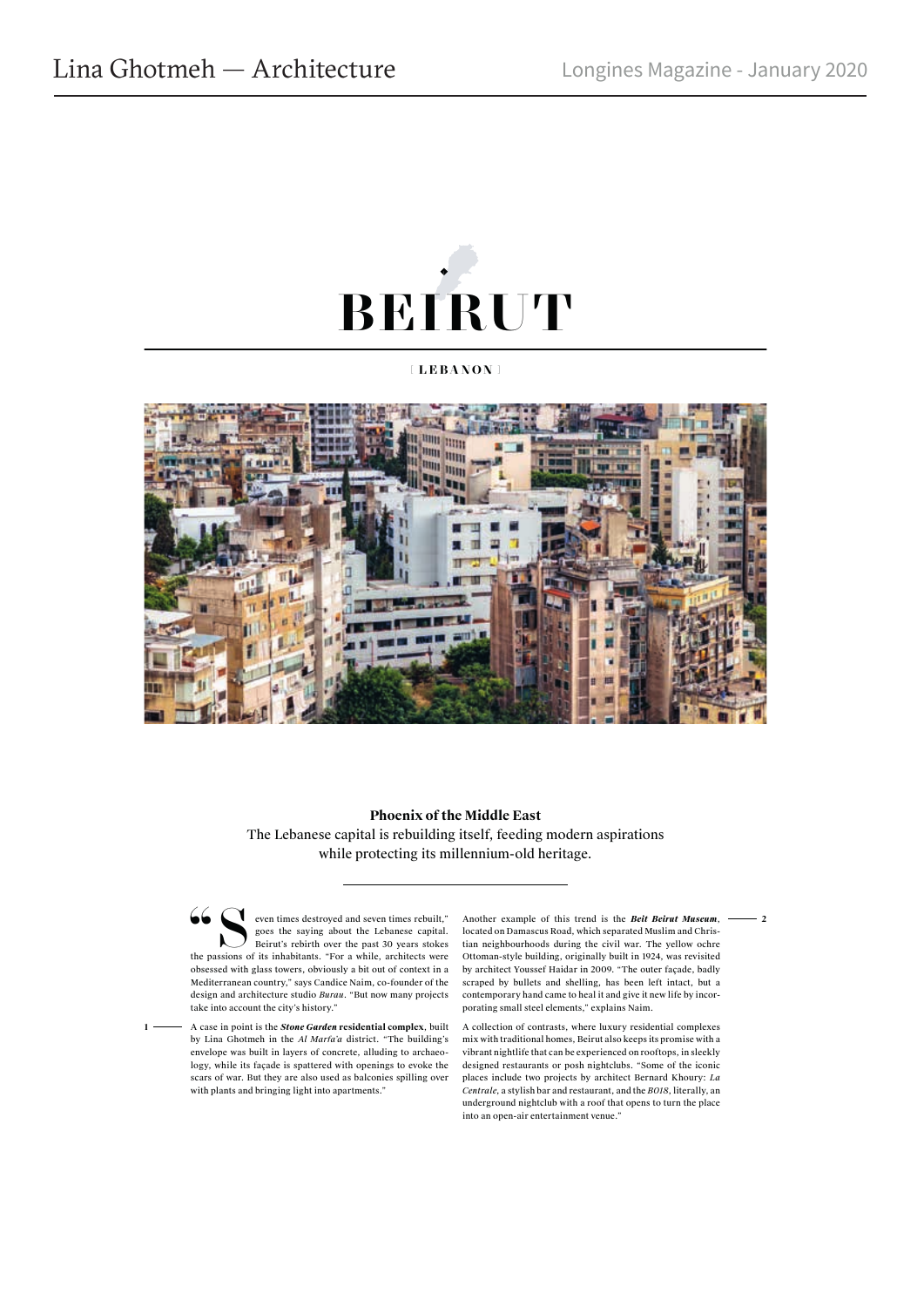

## **[ LEBANON ]**



## **Phoenix of the Middle East** The Lebanese capital is rebuilding itself, feeding modern aspirations while protecting its millennium-old heritage.

Seven times destroyed and seven times rebuilt,"<br>
goes the saying about the Lebanese capital.<br>
Beirut's rebirth over the past 30 years stokes<br>
the passions of its inhabitants. "For a while, architects were goes the saying about the Lebanese capital. Beirut's rebirth over the past 30 years stokes obsessed with glass towers, obviously a bit out of context in a Mediterranean country," says Candice Naim, co-founder of the design and architecture studio *Burau*. "But now many projects take into account the city's history."

**1** 

Another example of this trend is the *Beit Beirut Museum*, located on Damascus Road, which separated Muslim and Christian neighbourhoods during the civil war. The yellow ochre Ottoman-style building, originally built in 1924, was revisited by architect Youssef Haidar in 2009. "The outer façade, badly scraped by bullets and shelling, has been left intact, but a contemporary hand came to heal it and give it new life by incorporating small steel elements," explains Naim.

 **2**

A collection of contrasts, where luxury residential complexes mix with traditional homes, Beirut also keeps its promise with a vibrant nightlife that can be experienced on rooftops, in sleekly designed restaurants or posh nightclubs. "Some of the iconic places include two projects by architect Bernard Khoury: *La Centrale*, a stylish bar and restaurant, and the *B018*, literally, an underground nightclub with a roof that opens to turn the place into an open-air entertainment venue.

A case in point is the *Stone Garden* **residential complex**, built by Lina Ghotmeh in the *Al Marfa'a* district. "The building's envelope was built in layers of concrete, alluding to archaeology, while its façade is spattered with openings to evoke the scars of war. But they are also used as balconies spilling over with plants and bringing light into apartments."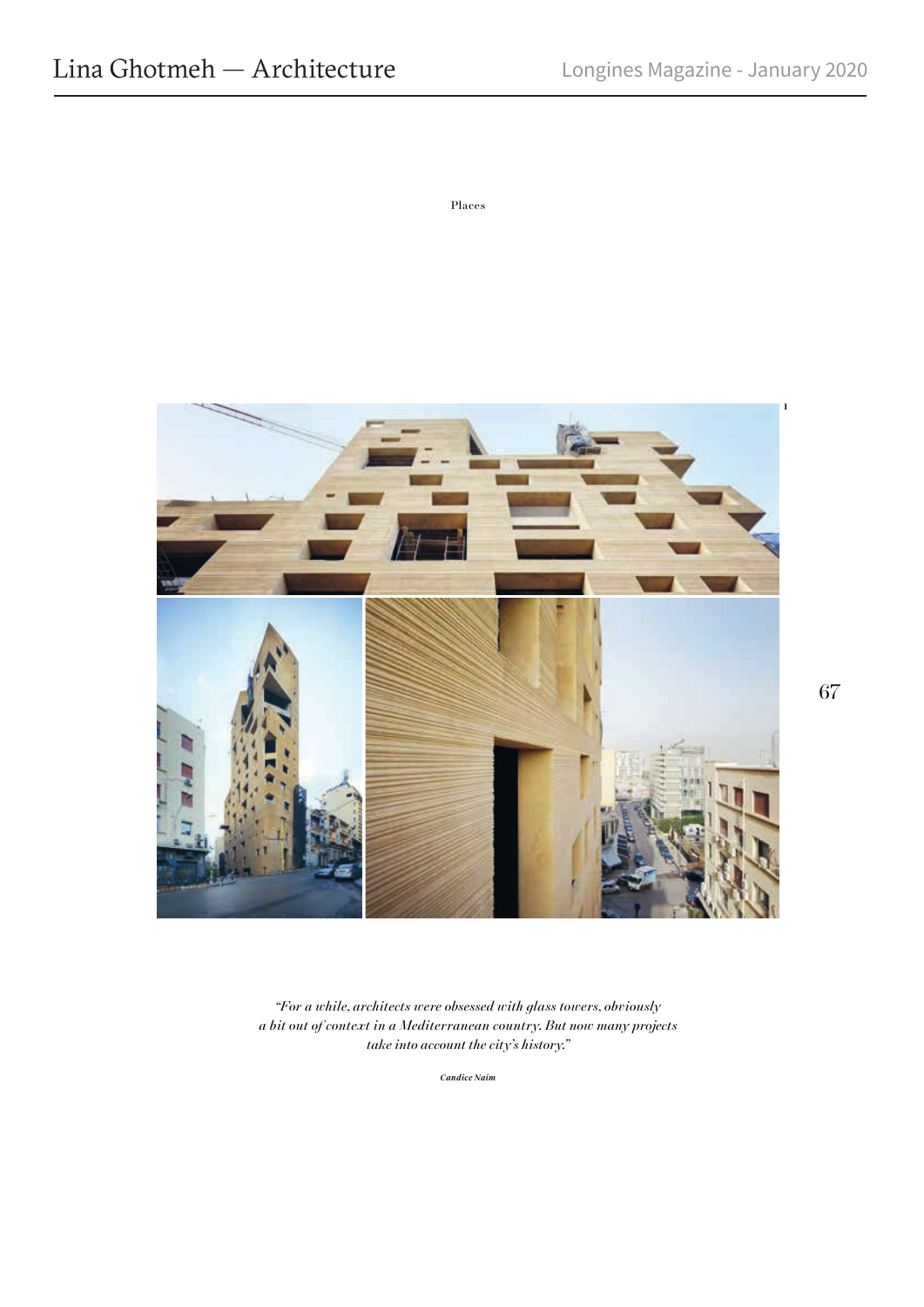Places



*"For a while, architects were obsessed with glass towers, obviously a bit out of context in a Mediterranean country. But now many projects take into account the city's history."*

*Candice Naim*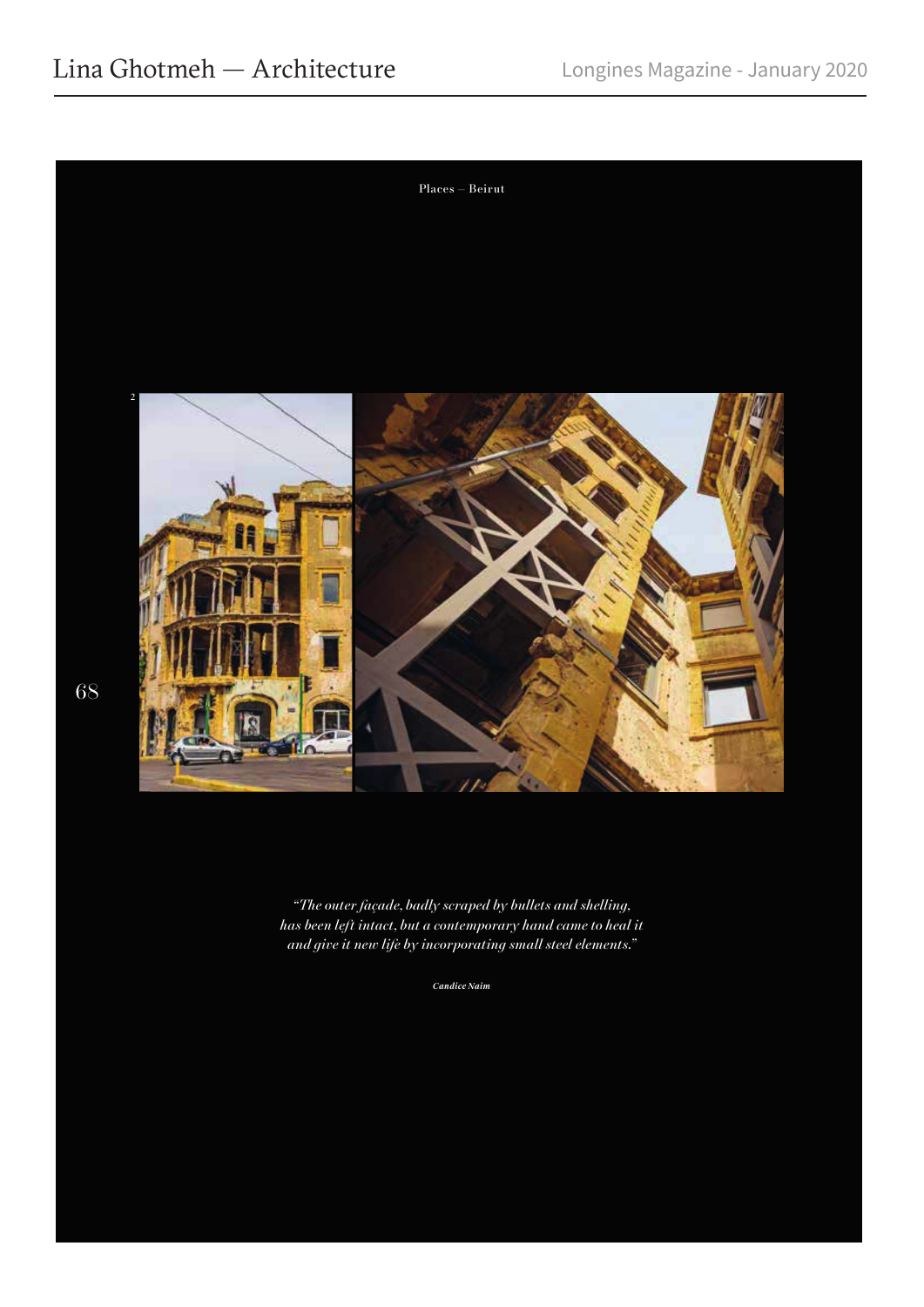

*"The outer façade, badly scraped by bullets and shelling, has been left intact, but a contemporary hand came to heal it and give it new life by incorporating small steel elements."*

*Candice Naim*